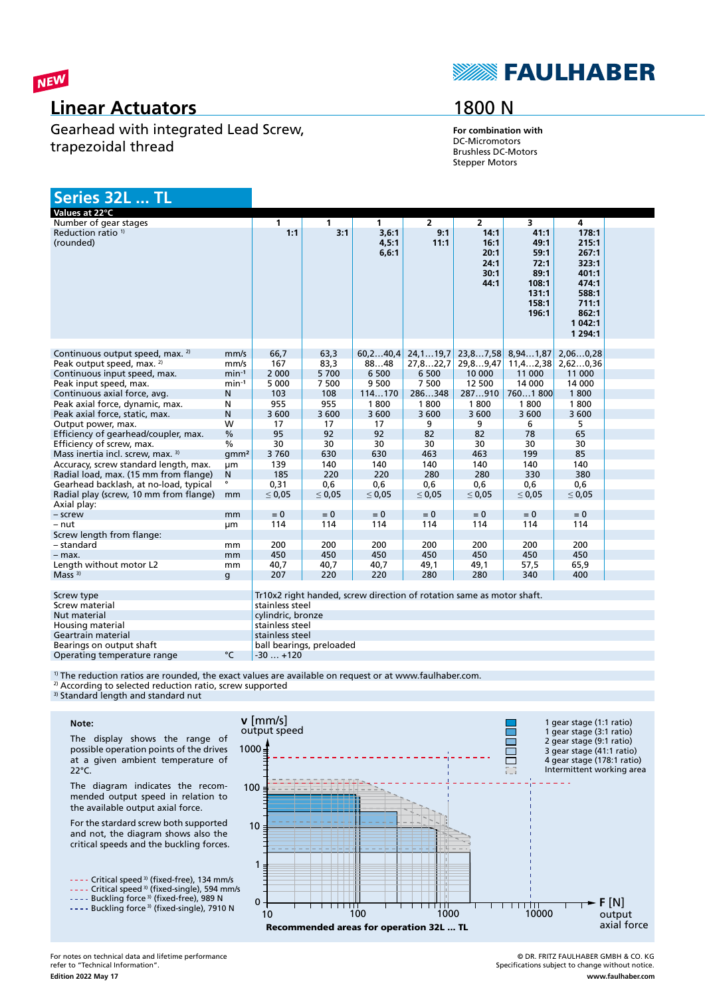

### **Linear Actuators**

Gearhead with integrated Lead Screw, trapezoidal thread

## **SEAULHABER**

## 1800 N

**For combination with** DC-Micromotors Brushless DC-Motors Stepper Motors

| Series 32L  TL                                       |                  |                   |             |                                                                       |                |                                              |                                                                          |                                                                                                       |  |
|------------------------------------------------------|------------------|-------------------|-------------|-----------------------------------------------------------------------|----------------|----------------------------------------------|--------------------------------------------------------------------------|-------------------------------------------------------------------------------------------------------|--|
| Values at 22°C                                       |                  |                   |             |                                                                       |                |                                              |                                                                          |                                                                                                       |  |
| Number of gear stages                                |                  | 1                 | 1           | $\mathbf{1}$                                                          | $\overline{2}$ | $\overline{2}$                               | $\overline{\mathbf{3}}$                                                  | 4                                                                                                     |  |
| Reduction ratio <sup>1)</sup><br>(rounded)           |                  | 1:1               | 3:1         | 3,6:1<br>4,5:1<br>6, 6:1                                              | 9:1<br>11:1    | 14:1<br>16:1<br>20:1<br>24:1<br>30:1<br>44:1 | 41:1<br>49:1<br>59:1<br>72:1<br>89:1<br>108:1<br>131:1<br>158:1<br>196:1 | 178:1<br>215:1<br>267:1<br>323:1<br>401:1<br>474:1<br>588:1<br>711:1<br>862:1<br>1 042:1<br>1 2 9 4:1 |  |
| Continuous output speed, max. <sup>2)</sup>          | mm/s             | 66.7              | 63,3        | 60, 240, 4                                                            | 24,119,7       | 23,87,58                                     | 8,941,87                                                                 | 2,060,28                                                                                              |  |
| Peak output speed, max. <sup>2)</sup>                | mm/s             | 167               | 83,3        | 8848                                                                  | 27,822,7       | 29,89,47                                     | 11, 42, 38                                                               | 2,620,36                                                                                              |  |
| Continuous input speed, max.                         | $min-1$          | 2 0 0 0           | 5 700       | 6 500                                                                 | 6 500          | 10 000                                       | 11 000                                                                   | 11 000                                                                                                |  |
|                                                      | $min-1$          | 5 0 0 0           | 7 500       | 9 500                                                                 | 7 500          | 12 500                                       | 14 000                                                                   | 14 000                                                                                                |  |
| Peak input speed, max.                               |                  | 103               |             |                                                                       | 286348         | 287910                                       |                                                                          | 1800                                                                                                  |  |
| Continuous axial force, avg.                         | N                |                   | 108         | 114170                                                                | 1800           |                                              | 7601800                                                                  | 1800                                                                                                  |  |
| Peak axial force, dynamic, max.                      | N                | 955               | 955         | 1800                                                                  |                | 1800                                         | 1800                                                                     |                                                                                                       |  |
| Peak axial force, static, max.                       | $\mathsf{N}$     | 3 600             | 3 600       | 3 600                                                                 | 3 600          | 3 600                                        | 3 600                                                                    | 3 600                                                                                                 |  |
| Output power, max.                                   | W                | 17                | 17          | 17                                                                    | 9              | 9                                            | 6                                                                        | 5.                                                                                                    |  |
| Efficiency of gearhead/coupler, max.                 | $\frac{0}{0}$    | 95                | 92          | 92                                                                    | 82             | 82                                           | 78                                                                       | 65                                                                                                    |  |
| Efficiency of screw, max.                            | $\frac{0}{0}$    | 30                | 30          | 30                                                                    | 30             | 30                                           | 30                                                                       | 30                                                                                                    |  |
| Mass inertia incl. screw, max. 3)                    | qmm <sup>2</sup> | 3760              | 630         | 630                                                                   | 463            | 463                                          | 199                                                                      | 85                                                                                                    |  |
| Accuracy, screw standard length, max.                | μm               | 139               | 140         | 140                                                                   | 140            | 140                                          | 140                                                                      | 140                                                                                                   |  |
| Radial load, max. (15 mm from flange)                | N                | 185               | 220         | 220                                                                   | 280            | 280                                          | 330                                                                      | 380                                                                                                   |  |
| Gearhead backlash, at no-load, typical               | $\circ$          | 0.31              | 0,6         | 0.6                                                                   | 0.6            | 0.6                                          | 0.6                                                                      | 0.6                                                                                                   |  |
| Radial play (screw, 10 mm from flange)               | mm               | $\leq 0.05$       | $\leq 0.05$ | $\leq 0.05$                                                           | $\leq 0.05$    | $\leq 0.05$                                  | $\leq 0.05$                                                              | $\leq 0.05$                                                                                           |  |
| Axial play:                                          |                  |                   |             |                                                                       |                |                                              |                                                                          |                                                                                                       |  |
| - screw                                              | mm               | $= 0$             | $= 0$       | $= 0$                                                                 | $= 0$          | $= 0$                                        | $= 0$                                                                    | $= 0$                                                                                                 |  |
| - nut                                                | μm               | 114               | 114         | 114                                                                   | 114            | 114                                          | 114                                                                      | 114                                                                                                   |  |
| Screw length from flange:                            |                  |                   |             |                                                                       |                |                                              |                                                                          |                                                                                                       |  |
| - standard                                           | mm               | 200               | 200         | 200                                                                   | 200            | 200                                          | 200                                                                      | 200                                                                                                   |  |
| $-$ max.                                             | mm               | 450               | 450         | 450                                                                   | 450            | 450                                          | 450                                                                      | 450                                                                                                   |  |
| Length without motor L2                              | mm               | 40,7              | 40,7        | 40,7                                                                  | 49,1           | 49,1                                         | 57,5                                                                     | 65,9                                                                                                  |  |
| Mass <sup>3</sup>                                    | q                | 207               | 220         | 220                                                                   | 280            | 280                                          | 340                                                                      | 400                                                                                                   |  |
|                                                      |                  |                   |             |                                                                       |                |                                              |                                                                          |                                                                                                       |  |
| Screw type                                           |                  |                   |             | Tr10x2 right handed, screw direction of rotation same as motor shaft. |                |                                              |                                                                          |                                                                                                       |  |
| Screw material                                       |                  | stainless steel   |             |                                                                       |                |                                              |                                                                          |                                                                                                       |  |
| Nut material                                         |                  | cylindric, bronze |             |                                                                       |                |                                              |                                                                          |                                                                                                       |  |
| Housing material                                     | stainless steel  |                   |             |                                                                       |                |                                              |                                                                          |                                                                                                       |  |
|                                                      | stainless steel  |                   |             |                                                                       |                |                                              |                                                                          |                                                                                                       |  |
| Geartrain material                                   |                  |                   |             |                                                                       |                |                                              |                                                                          |                                                                                                       |  |
| ball bearings, preloaded<br>Bearings on output shaft |                  |                   |             |                                                                       |                |                                              |                                                                          |                                                                                                       |  |

Operating temperature range  $\text{°C}$  -30 ... +120

<sup>1)</sup> The reduction ratios are rounded, the exact values are available on request or at www.faulhaber.com.

<sup>2)</sup> According to selected reduction ratio, screw supported

<sup>3)</sup> Standard length and standard nut

#### **Note:**

The display shows the range of possible operation points of the drives at a given ambient temperature of 22°C.

The diagram indicates the recommended output speed in relation to the available output axial force.

For the stardard screw both supported and not, the diagram shows also the critical speeds and the buckling forces.

- - Critical speed <sup>3)</sup> (fixed-free), 134 mm/s Critical speed 3) (fixed-single), 594 mm/s

Buckling force 3) (fixed-free), 989 N Buckling force<sup>3)</sup> (fixed-single), 7910 N



**Edition 2022 May 17** For notes on technical data and lifetime performance refer to "Technical Information".

© DR. FRITZ FAULHABER GMBH & CO. KG Specifications subject to change without notice. **www.faulhaber.com**